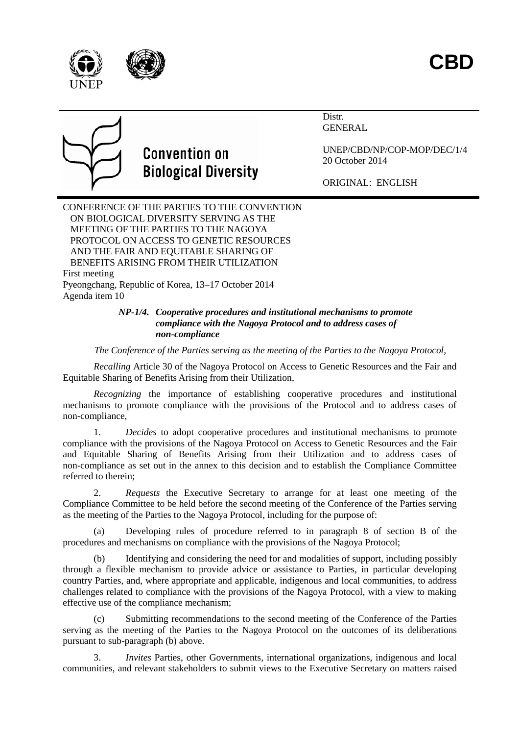

Distr. **GENERAL** 



# **Convention on Biological Diversity**

UNEP/CBD/NP/COP-MOP/DEC/1/4 20 October 2014

ORIGINAL: ENGLISH

CONFERENCE OF THE PARTIES TO THE CONVENTION ON BIOLOGICAL DIVERSITY SERVING AS THE MEETING OF THE PARTIES TO THE NAGOYA PROTOCOL ON ACCESS TO GENETIC RESOURCES AND THE FAIR AND EQUITABLE SHARING OF BENEFITS ARISING FROM THEIR UTILIZATION First meeting Pyeongchang, Republic of Korea, 13–17 October 2014 Agenda item 10

### *NP-1/4. Cooperative procedures and institutional mechanisms to promote compliance with the Nagoya Protocol and to address cases of non-compliance*

*The Conference of the Parties serving as the meeting of the Parties to the Nagoya Protocol,*

*Recalling* Article 30 of the Nagoya Protocol on Access to Genetic Resources and the Fair and Equitable Sharing of Benefits Arising from their Utilization,

*Recognizing* the importance of establishing cooperative procedures and institutional mechanisms to promote compliance with the provisions of the Protocol and to address cases of non-compliance,

1. *Decides* to adopt cooperative procedures and institutional mechanisms to promote compliance with the provisions of the Nagoya Protocol on Access to Genetic Resources and the Fair and Equitable Sharing of Benefits Arising from their Utilization and to address cases of non-compliance as set out in the annex to this decision and to establish the Compliance Committee referred to therein;

2. *Requests* the Executive Secretary to arrange for at least one meeting of the Compliance Committee to be held before the second meeting of the Conference of the Parties serving as the meeting of the Parties to the Nagoya Protocol, including for the purpose of:

(a) Developing rules of procedure referred to in paragraph 8 of section B of the procedures and mechanisms on compliance with the provisions of the Nagoya Protocol;

(b) Identifying and considering the need for and modalities of support, including possibly through a flexible mechanism to provide advice or assistance to Parties, in particular developing country Parties, and, where appropriate and applicable, indigenous and local communities, to address challenges related to compliance with the provisions of the Nagoya Protocol, with a view to making effective use of the compliance mechanism;

Submitting recommendations to the second meeting of the Conference of the Parties serving as the meeting of the Parties to the Nagoya Protocol on the outcomes of its deliberations pursuant to sub-paragraph (b) above.

3. *Invites* Parties, other Governments, international organizations, indigenous and local communities, and relevant stakeholders to submit views to the Executive Secretary on matters raised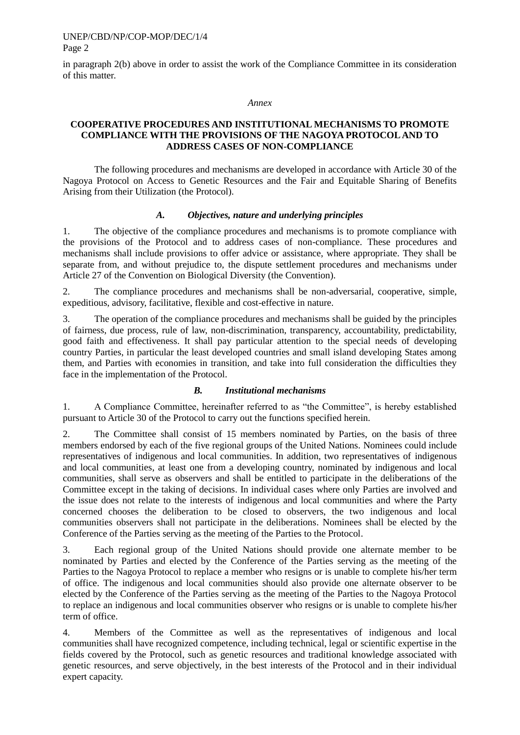#### UNEP/CBD/NP/COP-MOP/DEC/1/4 Page 2

in paragraph 2(b) above in order to assist the work of the Compliance Committee in its consideration of this matter.

#### *Annex*

### **COOPERATIVE PROCEDURES AND INSTITUTIONAL MECHANISMS TO PROMOTE COMPLIANCE WITH THE PROVISIONS OF THE NAGOYA PROTOCOL AND TO ADDRESS CASES OF NON-COMPLIANCE**

The following procedures and mechanisms are developed in accordance with Article 30 of the Nagoya Protocol on Access to Genetic Resources and the Fair and Equitable Sharing of Benefits Arising from their Utilization (the Protocol).

#### *A. Objectives, nature and underlying principles*

1. The objective of the compliance procedures and mechanisms is to promote compliance with the provisions of the Protocol and to address cases of non-compliance. These procedures and mechanisms shall include provisions to offer advice or assistance, where appropriate. They shall be separate from, and without prejudice to, the dispute settlement procedures and mechanisms under Article 27 of the Convention on Biological Diversity (the Convention).

2. The compliance procedures and mechanisms shall be non-adversarial, cooperative, simple, expeditious, advisory, facilitative, flexible and cost-effective in nature.

3. The operation of the compliance procedures and mechanisms shall be guided by the principles of fairness, due process, rule of law, non-discrimination, transparency, accountability, predictability, good faith and effectiveness. It shall pay particular attention to the special needs of developing country Parties, in particular the least developed countries and small island developing States among them, and Parties with economies in transition, and take into full consideration the difficulties they face in the implementation of the Protocol.

#### *B. Institutional mechanisms*

1. A Compliance Committee, hereinafter referred to as "the Committee", is hereby established pursuant to Article 30 of the Protocol to carry out the functions specified herein.

2. The Committee shall consist of 15 members nominated by Parties, on the basis of three members endorsed by each of the five regional groups of the United Nations. Nominees could include representatives of indigenous and local communities. In addition, two representatives of indigenous and local communities, at least one from a developing country, nominated by indigenous and local communities, shall serve as observers and shall be entitled to participate in the deliberations of the Committee except in the taking of decisions. In individual cases where only Parties are involved and the issue does not relate to the interests of indigenous and local communities and where the Party concerned chooses the deliberation to be closed to observers, the two indigenous and local communities observers shall not participate in the deliberations. Nominees shall be elected by the Conference of the Parties serving as the meeting of the Parties to the Protocol.

3. Each regional group of the United Nations should provide one alternate member to be nominated by Parties and elected by the Conference of the Parties serving as the meeting of the Parties to the Nagoya Protocol to replace a member who resigns or is unable to complete his/her term of office. The indigenous and local communities should also provide one alternate observer to be elected by the Conference of the Parties serving as the meeting of the Parties to the Nagoya Protocol to replace an indigenous and local communities observer who resigns or is unable to complete his/her term of office.

4. Members of the Committee as well as the representatives of indigenous and local communities shall have recognized competence, including technical, legal or scientific expertise in the fields covered by the Protocol, such as genetic resources and traditional knowledge associated with genetic resources, and serve objectively, in the best interests of the Protocol and in their individual expert capacity.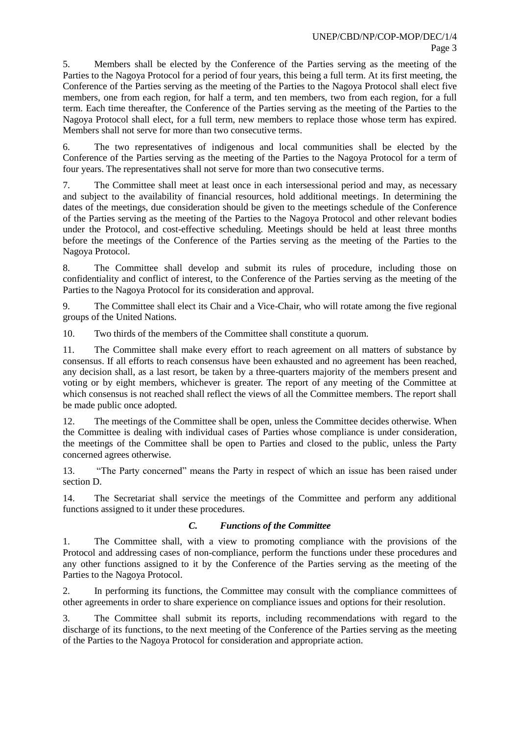5. Members shall be elected by the Conference of the Parties serving as the meeting of the Parties to the Nagoya Protocol for a period of four years, this being a full term. At its first meeting, the Conference of the Parties serving as the meeting of the Parties to the Nagoya Protocol shall elect five members, one from each region, for half a term, and ten members, two from each region, for a full term. Each time thereafter, the Conference of the Parties serving as the meeting of the Parties to the Nagoya Protocol shall elect, for a full term, new members to replace those whose term has expired. Members shall not serve for more than two consecutive terms.

6. The two representatives of indigenous and local communities shall be elected by the Conference of the Parties serving as the meeting of the Parties to the Nagoya Protocol for a term of four years. The representatives shall not serve for more than two consecutive terms.

7. The Committee shall meet at least once in each intersessional period and may, as necessary and subject to the availability of financial resources, hold additional meetings. In determining the dates of the meetings, due consideration should be given to the meetings schedule of the Conference of the Parties serving as the meeting of the Parties to the Nagoya Protocol and other relevant bodies under the Protocol, and cost-effective scheduling. Meetings should be held at least three months before the meetings of the Conference of the Parties serving as the meeting of the Parties to the Nagoya Protocol.

8. The Committee shall develop and submit its rules of procedure, including those on confidentiality and conflict of interest, to the Conference of the Parties serving as the meeting of the Parties to the Nagoya Protocol for its consideration and approval.

9. The Committee shall elect its Chair and a Vice-Chair, who will rotate among the five regional groups of the United Nations.

10. Two thirds of the members of the Committee shall constitute a quorum.

11. The Committee shall make every effort to reach agreement on all matters of substance by consensus. If all efforts to reach consensus have been exhausted and no agreement has been reached, any decision shall, as a last resort, be taken by a three-quarters majority of the members present and voting or by eight members, whichever is greater. The report of any meeting of the Committee at which consensus is not reached shall reflect the views of all the Committee members. The report shall be made public once adopted.

12. The meetings of the Committee shall be open, unless the Committee decides otherwise. When the Committee is dealing with individual cases of Parties whose compliance is under consideration, the meetings of the Committee shall be open to Parties and closed to the public, unless the Party concerned agrees otherwise.

13. "The Party concerned" means the Party in respect of which an issue has been raised under section D.

14. The Secretariat shall service the meetings of the Committee and perform any additional functions assigned to it under these procedures.

## *C. Functions of the Committee*

1. The Committee shall, with a view to promoting compliance with the provisions of the Protocol and addressing cases of non-compliance, perform the functions under these procedures and any other functions assigned to it by the Conference of the Parties serving as the meeting of the Parties to the Nagoya Protocol.

2. In performing its functions, the Committee may consult with the compliance committees of other agreements in order to share experience on compliance issues and options for their resolution.

3. The Committee shall submit its reports, including recommendations with regard to the discharge of its functions, to the next meeting of the Conference of the Parties serving as the meeting of the Parties to the Nagoya Protocol for consideration and appropriate action.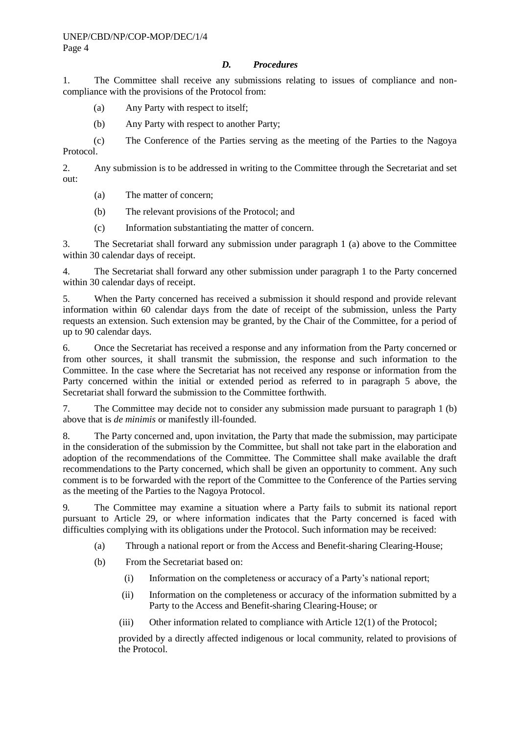## *D. Procedures*

1. The Committee shall receive any submissions relating to issues of compliance and noncompliance with the provisions of the Protocol from:

(a) Any Party with respect to itself;

(b) Any Party with respect to another Party;

(c) The Conference of the Parties serving as the meeting of the Parties to the Nagoya Protocol.

2. Any submission is to be addressed in writing to the Committee through the Secretariat and set out:

(a) The matter of concern;

(b) The relevant provisions of the Protocol; and

(c) Information substantiating the matter of concern.

3. The Secretariat shall forward any submission under paragraph 1 (a) above to the Committee within 30 calendar days of receipt.

4. The Secretariat shall forward any other submission under paragraph 1 to the Party concerned within 30 calendar days of receipt.

5. When the Party concerned has received a submission it should respond and provide relevant information within 60 calendar days from the date of receipt of the submission, unless the Party requests an extension. Such extension may be granted, by the Chair of the Committee, for a period of up to 90 calendar days.

6. Once the Secretariat has received a response and any information from the Party concerned or from other sources, it shall transmit the submission, the response and such information to the Committee. In the case where the Secretariat has not received any response or information from the Party concerned within the initial or extended period as referred to in paragraph 5 above, the Secretariat shall forward the submission to the Committee forthwith.

7. The Committee may decide not to consider any submission made pursuant to paragraph 1 (b) above that is *de minimis* or manifestly ill-founded.

8. The Party concerned and, upon invitation, the Party that made the submission, may participate in the consideration of the submission by the Committee, but shall not take part in the elaboration and adoption of the recommendations of the Committee. The Committee shall make available the draft recommendations to the Party concerned, which shall be given an opportunity to comment. Any such comment is to be forwarded with the report of the Committee to the Conference of the Parties serving as the meeting of the Parties to the Nagoya Protocol.

9*.* The Committee may examine a situation where a Party fails to submit its national report pursuant to Article 29, or where information indicates that the Party concerned is faced with difficulties complying with its obligations under the Protocol. Such information may be received:

(a) Through a national report or from the Access and Benefit-sharing Clearing-House;

(b) From the Secretariat based on:

- (i) Information on the completeness or accuracy of a Party's national report;
- (ii) Information on the completeness or accuracy of the information submitted by a Party to the Access and Benefit-sharing Clearing-House; or
- (iii) Other information related to compliance with Article 12(1) of the Protocol;

provided by a directly affected indigenous or local community, related to provisions of the Protocol.